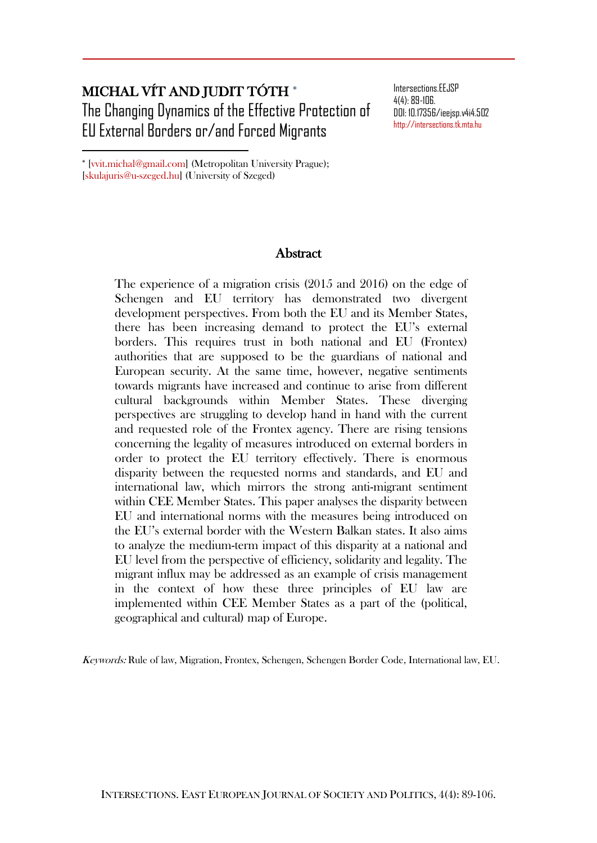# MICHAL VÍT AND JUDIT TÓTH The Changing Dynamics of the Effective Protection of EU External Borders or/and Forced Migrants

Intersections.EEJSP 4(4): 89-106. DOI: 10.17356/ieejsp.v4i4.502 [http://intersections.tk.mta.hu](http://intersections.tk.mta.hu/)

 [vvit.michal@gmail.com] (Metropolitan University Prague); [skulajuris@u-szeged.hu] (University of Szeged)

 $\overline{a}$ 

## Abstract

The experience of a migration crisis (2015 and 2016) on the edge of Schengen and EU territory has demonstrated two divergent development perspectives. From both the EU and its Member States, there has been increasing demand to protect the EU's external borders. This requires trust in both national and EU (Frontex) authorities that are supposed to be the guardians of national and European security. At the same time, however, negative sentiments towards migrants have increased and continue to arise from different cultural backgrounds within Member States. These diverging perspectives are struggling to develop hand in hand with the current and requested role of the Frontex agency. There are rising tensions concerning the legality of measures introduced on external borders in order to protect the EU territory effectively. There is enormous disparity between the requested norms and standards, and EU and international law, which mirrors the strong anti-migrant sentiment within CEE Member States. This paper analyses the disparity between EU and international norms with the measures being introduced on the EU's external border with the Western Balkan states. It also aims to analyze the medium-term impact of this disparity at a national and EU level from the perspective of efficiency, solidarity and legality. The migrant influx may be addressed as an example of crisis management in the context of how these three principles of EU law are implemented within CEE Member States as a part of the (political, geographical and cultural) map of Europe.

Keywords: Rule of law, Migration, Frontex, Schengen, Schengen Border Code, International law, EU.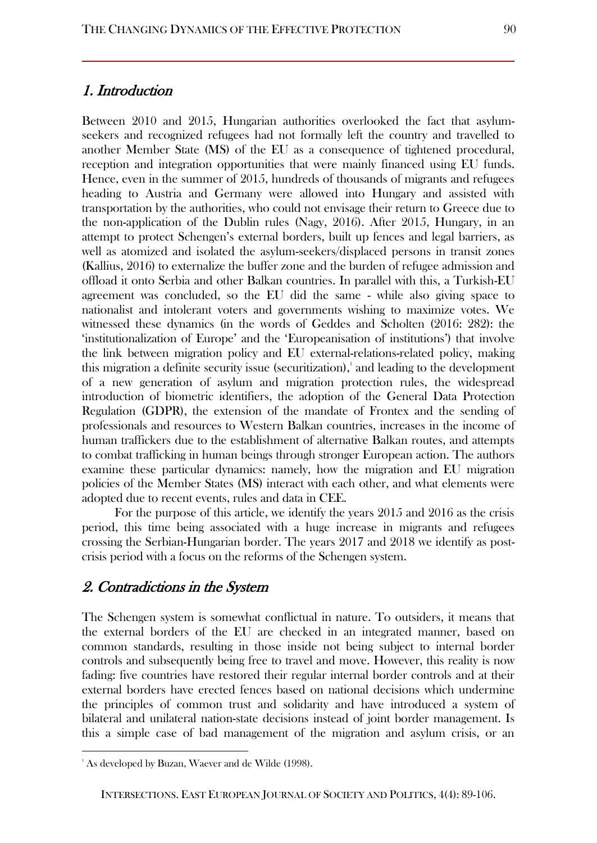## 1. Introduction

Between 2010 and 2015, Hungarian authorities overlooked the fact that asylumseekers and recognized refugees had not formally left the country and travelled to another Member State (MS) of the EU as a consequence of tightened procedural, reception and integration opportunities that were mainly financed using EU funds. Hence, even in the summer of 2015, hundreds of thousands of migrants and refugees heading to Austria and Germany were allowed into Hungary and assisted with transportation by the authorities, who could not envisage their return to Greece due to the non-application of the Dublin rules (Nagy, 2016). After 2015, Hungary, in an attempt to protect Schengen's external borders, built up fences and legal barriers, as well as atomized and isolated the asylum-seekers/displaced persons in transit zones (Kallius, 2016) to externalize the buffer zone and the burden of refugee admission and offload it onto Serbia and other Balkan countries. In parallel with this, a Turkish-EU agreement was concluded, so the EU did the same - while also giving space to nationalist and intolerant voters and governments wishing to maximize votes. We witnessed these dynamics (in the words of Geddes and Scholten (2016: 282): the 'institutionalization of Europe' and the 'Europeanisation of institutions') that involve the link between migration policy and EU external-relations-related policy, making this migration a definite security issue (securitization), $\frac{1}{2}$  and leading to the development of a new generation of asylum and migration protection rules, the widespread introduction of biometric identifiers, the adoption of the General Data Protection Regulation (GDPR), the extension of the mandate of Frontex and the sending of professionals and resources to Western Balkan countries, increases in the income of human traffickers due to the establishment of alternative Balkan routes, and attempts to combat trafficking in human beings through stronger European action. The authors examine these particular dynamics: namely, how the migration and EU migration policies of the Member States (MS) interact with each other, and what elements were adopted due to recent events, rules and data in CEE.

For the purpose of this article, we identify the years 2015 and 2016 as the crisis period, this time being associated with a huge increase in migrants and refugees crossing the Serbian-Hungarian border. The years 2017 and 2018 we identify as postcrisis period with a focus on the reforms of the Schengen system.

## 2. Contradictions in the System

The Schengen system is somewhat conflictual in nature. To outsiders, it means that the external borders of the EU are checked in an integrated manner, based on common standards, resulting in those inside not being subject to internal border controls and subsequently being free to travel and move. However, this reality is now fading: five countries have restored their regular internal border controls and at their external borders have erected fences based on national decisions which undermine the principles of common trust and solidarity and have introduced a system of bilateral and unilateral nation-state decisions instead of joint border management. Is this a simple case of bad management of the migration and asylum crisis, or an

l

<sup>&</sup>lt;sup>1</sup> As developed by Buzan, Waever and de Wilde (1998).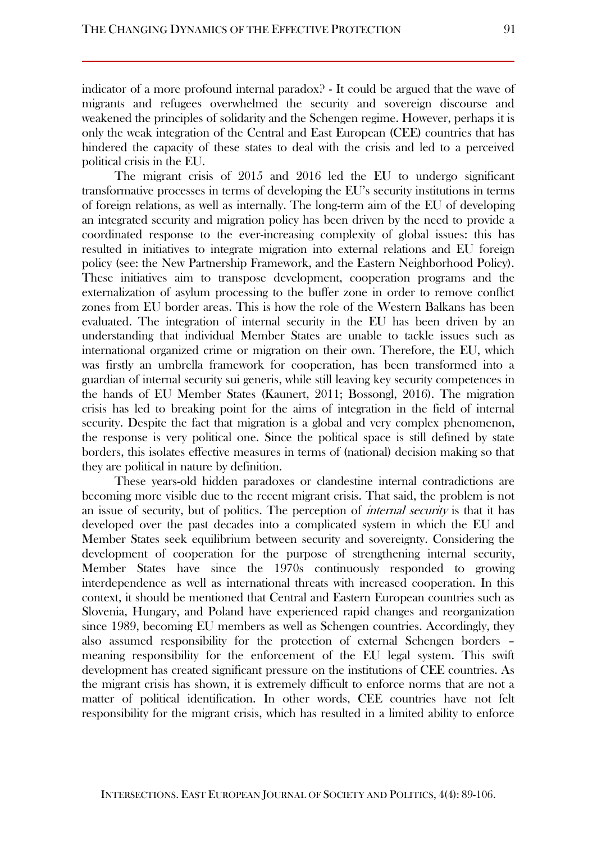indicator of a more profound internal paradox? - It could be argued that the wave of migrants and refugees overwhelmed the security and sovereign discourse and weakened the principles of solidarity and the Schengen regime. However, perhaps it is only the weak integration of the Central and East European (CEE) countries that has hindered the capacity of these states to deal with the crisis and led to a perceived political crisis in the EU.

The migrant crisis of 2015 and 2016 led the EU to undergo significant transformative processes in terms of developing the EU's security institutions in terms of foreign relations, as well as internally. The long-term aim of the EU of developing an integrated security and migration policy has been driven by the need to provide a coordinated response to the ever-increasing complexity of global issues: this has resulted in initiatives to integrate migration into external relations and EU foreign policy (see: the New Partnership Framework, and the Eastern Neighborhood Policy). These initiatives aim to transpose development, cooperation programs and the externalization of asylum processing to the buffer zone in order to remove conflict zones from EU border areas. This is how the role of the Western Balkans has been evaluated. The integration of internal security in the EU has been driven by an understanding that individual Member States are unable to tackle issues such as international organized crime or migration on their own. Therefore, the EU, which was firstly an umbrella framework for cooperation, has been transformed into a guardian of internal security sui generis, while still leaving key security competences in the hands of EU Member States (Kaunert, 2011; Bossongl, 2016). The migration crisis has led to breaking point for the aims of integration in the field of internal security. Despite the fact that migration is a global and very complex phenomenon, the response is very political one. Since the political space is still defined by state borders, this isolates effective measures in terms of (national) decision making so that they are political in nature by definition.

These years-old hidden paradoxes or clandestine internal contradictions are becoming more visible due to the recent migrant crisis. That said, the problem is not an issue of security, but of politics. The perception of *internal security* is that it has developed over the past decades into a complicated system in which the EU and Member States seek equilibrium between security and sovereignty. Considering the development of cooperation for the purpose of strengthening internal security, Member States have since the 1970s continuously responded to growing interdependence as well as international threats with increased cooperation. In this context, it should be mentioned that Central and Eastern European countries such as Slovenia, Hungary, and Poland have experienced rapid changes and reorganization since 1989, becoming EU members as well as Schengen countries. Accordingly, they also assumed responsibility for the protection of external Schengen borders – meaning responsibility for the enforcement of the EU legal system. This swift development has created significant pressure on the institutions of CEE countries. As the migrant crisis has shown, it is extremely difficult to enforce norms that are not a matter of political identification. In other words, CEE countries have not felt responsibility for the migrant crisis, which has resulted in a limited ability to enforce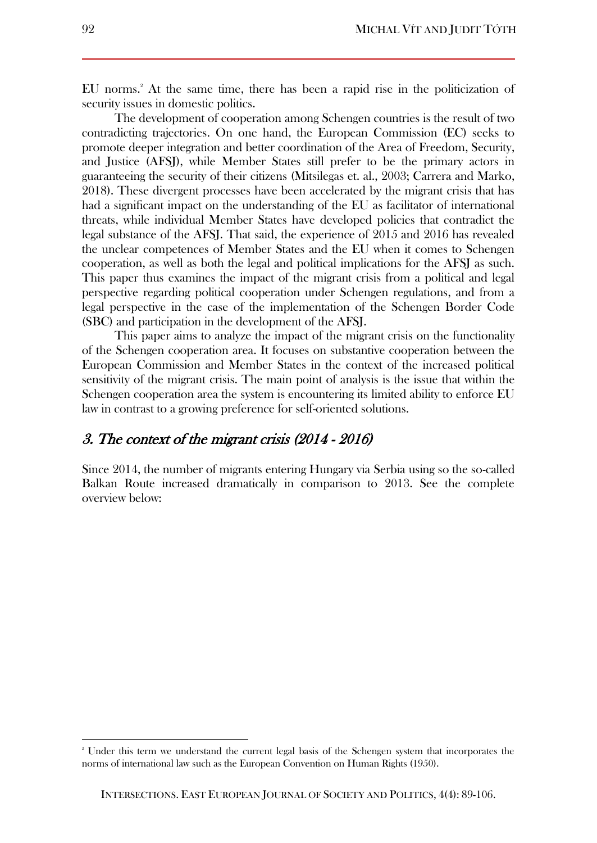EU norms.<sup>2</sup> At the same time, there has been a rapid rise in the politicization of security issues in domestic politics.

The development of cooperation among Schengen countries is the result of two contradicting trajectories. On one hand, the European Commission (EC) seeks to promote deeper integration and better coordination of the Area of Freedom, Security, and Justice (AFSJ), while Member States still prefer to be the primary actors in guaranteeing the security of their citizens (Mitsilegas et. al., 2003; Carrera and Marko, 2018). These divergent processes have been accelerated by the migrant crisis that has had a significant impact on the understanding of the EU as facilitator of international threats, while individual Member States have developed policies that contradict the legal substance of the AFSJ. That said, the experience of 2015 and 2016 has revealed the unclear competences of Member States and the EU when it comes to Schengen cooperation, as well as both the legal and political implications for the AFSJ as such. This paper thus examines the impact of the migrant crisis from a political and legal perspective regarding political cooperation under Schengen regulations, and from a legal perspective in the case of the implementation of the Schengen Border Code (SBC) and participation in the development of the AFSJ.

This paper aims to analyze the impact of the migrant crisis on the functionality of the Schengen cooperation area. It focuses on substantive cooperation between the European Commission and Member States in the context of the increased political sensitivity of the migrant crisis. The main point of analysis is the issue that within the Schengen cooperation area the system is encountering its limited ability to enforce EU law in contrast to a growing preference for self-oriented solutions.

# 3. The context of the migrant crisis (2014 - 2016)

Since 2014, the number of migrants entering Hungary via Serbia using so the so-called Balkan Route increased dramatically in comparison to 2013. See the complete overview below:

<sup>2</sup> Under this term we understand the current legal basis of the Schengen system that incorporates the norms of international law such as the European Convention on Human Rights (1950).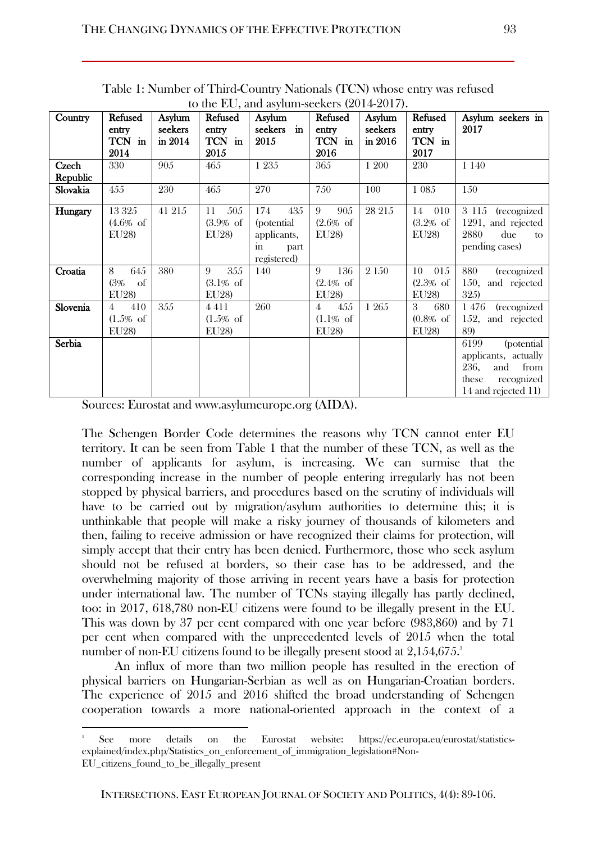| Country  | Refused<br>entry<br>TCN in | Asylum<br>seekers<br>in 2014 | Refused<br>entry<br>TCN in | to the EO, and asymmi-seckers (2014-2017).<br>Asylum<br>$\mathbf{in}$<br>seekers<br>2015 | Refused<br>entry<br>TCN in        | Asylum<br>seekers<br>in 2016 | Refused<br>entry<br>TCN in | Asylum seekers in<br>2017           |
|----------|----------------------------|------------------------------|----------------------------|------------------------------------------------------------------------------------------|-----------------------------------|------------------------------|----------------------------|-------------------------------------|
| Czech    | 2014<br>330                | 905                          | 2015<br>465                | 1 2 3 5                                                                                  | 2016<br>365                       | 1 200                        | 2017<br>230                | 1 1 4 0                             |
| Republic |                            |                              |                            |                                                                                          |                                   |                              |                            |                                     |
| Slovakia | 455                        | 230                          | 465                        | 270                                                                                      | 750                               | 100                          | 1 0 8 5                    | 150                                 |
| Hungary  | 13 3 25                    | 41 215                       | 505<br>11                  | 174<br>435                                                                               | 9<br>905                          | 28 215                       | 010<br>14                  | 3 115 (recognized                   |
|          | $(4.6% \text{ of }$        |                              | $(3.9% \text{ of }$        | (potential)                                                                              | $(2.6\% \text{ of }$              |                              | $(3.2% \text{ of }$        | 1291, and rejected                  |
|          | EU28)                      |                              | EU28)                      | applicants,                                                                              | EU28)                             |                              | EU28)                      | 2880<br>due<br>to                   |
|          |                            |                              |                            | part<br>in.                                                                              |                                   |                              |                            | pending cases)                      |
|          |                            |                              |                            | registered)                                                                              |                                   |                              |                            |                                     |
| Croatia  | 645<br>8                   | 380                          | 355<br>9                   | 140                                                                                      | 136<br>9                          | 2 1 5 0                      | 015<br>10                  | (recognized<br>880                  |
|          | (3%<br>of                  |                              | $(3.1\% \text{ of }$       |                                                                                          | $(2.4% \text{ of }$               |                              | (2.3% of                   | 150,<br>and rejected                |
|          | EU28)                      |                              | EU28)                      |                                                                                          | EU28)                             |                              | EU28)                      | 325)                                |
| Slovenia | 410<br>4                   | 355                          | 4411                       | 260                                                                                      | 455<br>4                          | 1 265                        | 3<br>680                   | (recognized<br>1476                 |
|          | $(1.5\% \text{ of }$       |                              | $(1.5\% \text{ of }$       |                                                                                          | $(1.1\% \text{ of }$              |                              | $(0.8% \text{ of }$        | 152, and rejected                   |
|          | EU28)                      |                              | EU28)                      |                                                                                          | EU28)                             |                              | EU28)                      | 89)                                 |
| Serbia   |                            |                              |                            |                                                                                          |                                   |                              |                            | 6199<br><i>(potential)</i>          |
|          |                            |                              |                            |                                                                                          |                                   |                              |                            | applicants, actually<br>236,<br>and |
|          |                            |                              |                            |                                                                                          |                                   |                              |                            | from<br>these                       |
|          |                            |                              |                            |                                                                                          |                                   |                              |                            | recognized<br>14 and rejected 11)   |
| $\sim$   | $\blacksquare$             | $\mathbf{r}$                 |                            |                                                                                          | $\lambda$ + $\lambda$ + $\lambda$ |                              |                            |                                     |

Table 1: Number of Third-Country Nationals (TCN) whose entry was refused to the EU, and asylum-seekers (9014-9017).

Sources: Eurostat and [www.asylumeurope.org](http://www.asylumeurope.org/) (AIDA).

 $\overline{a}$ 

The Schengen Border Code determines the reasons why TCN cannot enter EU territory. It can be seen from Table 1 that the number of these TCN, as well as the number of applicants for asylum, is increasing. We can surmise that the corresponding increase in the number of people entering irregularly has not been stopped by physical barriers, and procedures based on the scrutiny of individuals will have to be carried out by migration/asylum authorities to determine this; it is unthinkable that people will make a risky journey of thousands of kilometers and then, failing to receive admission or have recognized their claims for protection, will simply accept that their entry has been denied. Furthermore, those who seek asylum should not be refused at borders, so their case has to be addressed, and the overwhelming majority of those arriving in recent years have a basis for protection under international law. The number of TCNs staying illegally has partly declined, too: in 2017, 618,780 non-EU citizens were found to be illegally present in the EU. This was down by 37 per cent compared with one year before (983,860) and by 71 per cent when compared with the unprecedented levels of 2015 when the total number of non-EU citizens found to be illegally present stood at  $2,154,675$ .

An influx of more than two million people has resulted in the erection of physical barriers on Hungarian-Serbian as well as on Hungarian-Croatian borders. The experience of 2015 and 2016 shifted the broad understanding of Schengen cooperation towards a more national-oriented approach in the context of a

<sup>3</sup> See more details on the Eurostat website: [https://ec.europa.eu/eurostat/statistics](https://ec.europa.eu/eurostat/statistics-explained/index.php/Statistics_on_enforcement_of_immigration_legislation#Non-EU_citizens_found_to_be_illegally_present)[explained/index.php/Statistics\\_on\\_enforcement\\_of\\_immigration\\_legislation#Non-](https://ec.europa.eu/eurostat/statistics-explained/index.php/Statistics_on_enforcement_of_immigration_legislation#Non-EU_citizens_found_to_be_illegally_present)[EU\\_citizens\\_found\\_to\\_be\\_illegally\\_present](https://ec.europa.eu/eurostat/statistics-explained/index.php/Statistics_on_enforcement_of_immigration_legislation#Non-EU_citizens_found_to_be_illegally_present)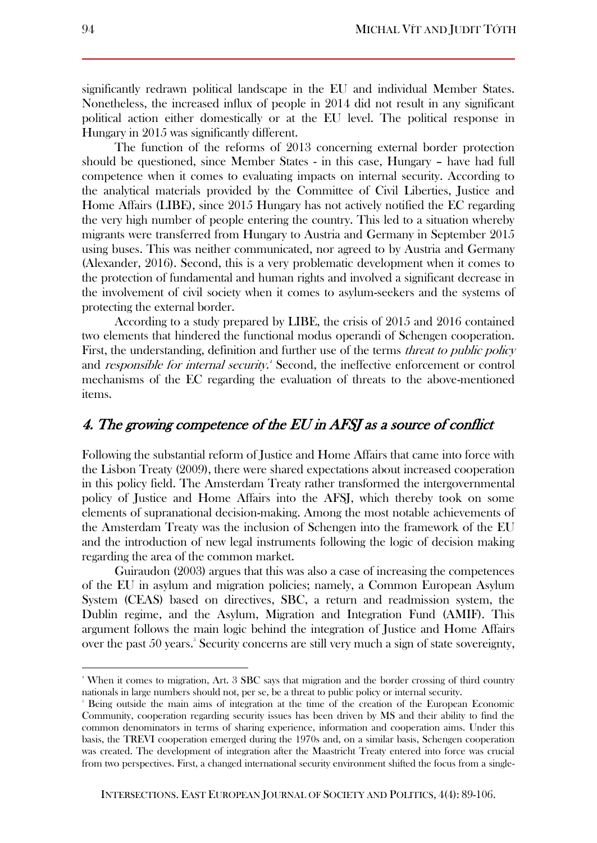significantly redrawn political landscape in the EU and individual Member States. Nonetheless, the increased influx of people in 2014 did not result in any significant political action either domestically or at the EU level. The political response in Hungary in 2015 was significantly different.

The function of the reforms of 2013 concerning external border protection should be questioned, since Member States - in this case, Hungary – have had full competence when it comes to evaluating impacts on internal security. According to the analytical materials provided by the Committee of Civil Liberties, Justice and Home Affairs (LIBE), since 2015 Hungary has not actively notified the EC regarding the very high number of people entering the country. This led to a situation whereby migrants were transferred from Hungary to Austria and Germany in September 2015 using buses. This was neither communicated, nor agreed to by Austria and Germany (Alexander, 2016). Second, this is a very problematic development when it comes to the protection of fundamental and human rights and involved a significant decrease in the involvement of civil society when it comes to asylum-seekers and the systems of protecting the external border.

According to a study prepared by LIBE, the crisis of 2015 and 2016 contained two elements that hindered the functional modus operandi of Schengen cooperation. First, the understanding, definition and further use of the terms *threat to public policy* and *responsible for internal security*.<sup>4</sup> Second, the ineffective enforcement or control mechanisms of the EC regarding the evaluation of threats to the above-mentioned items.

# 4. The growing competence of the EU in AFSJ as a source of conflict

Following the substantial reform of Justice and Home Affairs that came into force with the Lisbon Treaty (2009), there were shared expectations about increased cooperation in this policy field. The Amsterdam Treaty rather transformed the intergovernmental policy of Justice and Home Affairs into the AFSJ, which thereby took on some elements of supranational decision-making. Among the most notable achievements of the Amsterdam Treaty was the inclusion of Schengen into the framework of the EU and the introduction of new legal instruments following the logic of decision making regarding the area of the common market.

Guiraudon (2003) argues that this was also a case of increasing the competences of the EU in asylum and migration policies; namely, a Common European Asylum System (CEAS) based on directives, SBC, a return and readmission system, the Dublin regime, and the Asylum, Migration and Integration Fund (AMIF). This argument follows the main logic behind the integration of Justice and Home Affairs over the past 50 years.<sup>5</sup> Security concerns are still very much a sign of state sovereignty,

<sup>4</sup> When it comes to migration, Art. 3 SBC says that migration and the border crossing of third country nationals in large numbers should not, per se, be a threat to public policy or internal security.

<sup>5</sup> Being outside the main aims of integration at the time of the creation of the European Economic Community, cooperation regarding security issues has been driven by MS and their ability to find the common denominators in terms of sharing experience, information and cooperation aims. Under this basis, the TREVI cooperation emerged during the 1970s and, on a similar basis, Schengen cooperation was created. The development of integration after the Maastricht Treaty entered into force was crucial from two perspectives. First, a changed international security environment shifted the focus from a single-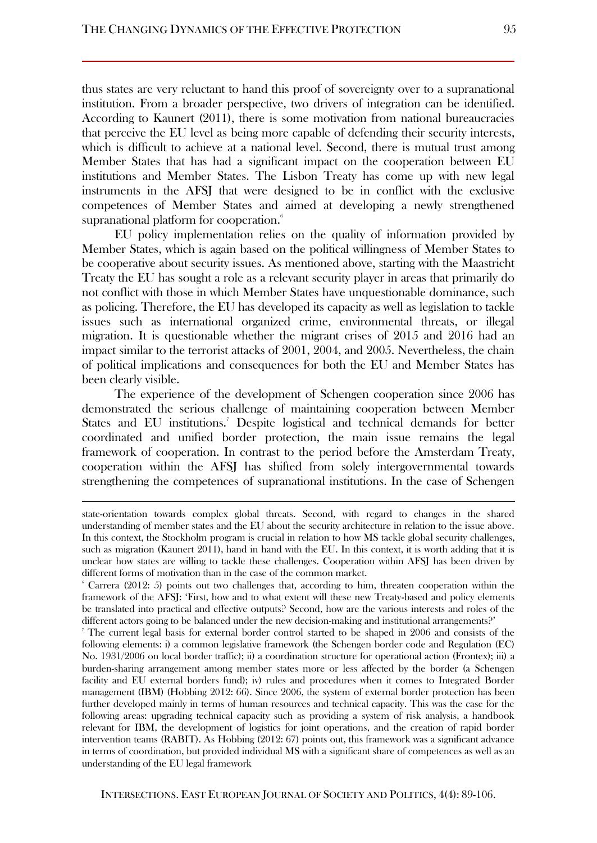thus states are very reluctant to hand this proof of sovereignty over to a supranational institution. From a broader perspective, two drivers of integration can be identified. According to Kaunert (2011), there is some motivation from national bureaucracies that perceive the EU level as being more capable of defending their security interests, which is difficult to achieve at a national level. Second, there is mutual trust among Member States that has had a significant impact on the cooperation between EU institutions and Member States. The Lisbon Treaty has come up with new legal instruments in the AFSJ that were designed to be in conflict with the exclusive competences of Member States and aimed at developing a newly strengthened supranational platform for cooperation.<sup>6</sup>

EU policy implementation relies on the quality of information provided by Member States, which is again based on the political willingness of Member States to be cooperative about security issues. As mentioned above, starting with the Maastricht Treaty the EU has sought a role as a relevant security player in areas that primarily do not conflict with those in which Member States have unquestionable dominance, such as policing. Therefore, the EU has developed its capacity as well as legislation to tackle issues such as international organized crime, environmental threats, or illegal migration. It is questionable whether the migrant crises of 2015 and 2016 had an impact similar to the terrorist attacks of 2001, 2004, and 2005. Nevertheless, the chain of political implications and consequences for both the EU and Member States has been clearly visible.

The experience of the development of Schengen cooperation since 2006 has demonstrated the serious challenge of maintaining cooperation between Member States and EU institutions.<sup>7</sup> Despite logistical and technical demands for better coordinated and unified border protection, the main issue remains the legal framework of cooperation. In contrast to the period before the Amsterdam Treaty, cooperation within the AFSJ has shifted from solely intergovernmental towards strengthening the competences of supranational institutions. In the case of Schengen

state-orientation towards complex global threats. Second, with regard to changes in the shared understanding of member states and the EU about the security architecture in relation to the issue above. In this context, the Stockholm program is crucial in relation to how MS tackle global security challenges, such as migration (Kaunert 2011), hand in hand with the EU. In this context, it is worth adding that it is unclear how states are willing to tackle these challenges. Cooperation within AFSJ has been driven by different forms of motivation than in the case of the common market.

<sup>6</sup> Carrera (2012: 5) points out two challenges that, according to him, threaten cooperation within the framework of the AFSJ: 'First, how and to what extent will these new Treaty-based and policy elements be translated into practical and effective outputs? Second, how are the various interests and roles of the different actors going to be balanced under the new decision-making and institutional arrangements?'

<sup>7</sup> The current legal basis for external border control started to be shaped in 2006 and consists of the following elements: i) a common legislative framework (the Schengen border code and Regulation (EC) No. 1931/2006 on local border traffic); ii) a coordination structure for operational action (Frontex); iii) a burden-sharing arrangement among member states more or less affected by the border (a Schengen facility and EU external borders fund); iv) rules and procedures when it comes to Integrated Border management (IBM) (Hobbing 2012: 66). Since 2006, the system of external border protection has been further developed mainly in terms of human resources and technical capacity. This was the case for the following areas: upgrading technical capacity such as providing a system of risk analysis, a handbook relevant for IBM, the development of logistics for joint operations, and the creation of rapid border intervention teams (RABIT). As Hobbing (2012: 67) points out, this framework was a significant advance in terms of coordination, but provided individual MS with a significant share of competences as well as an understanding of the EU legal framework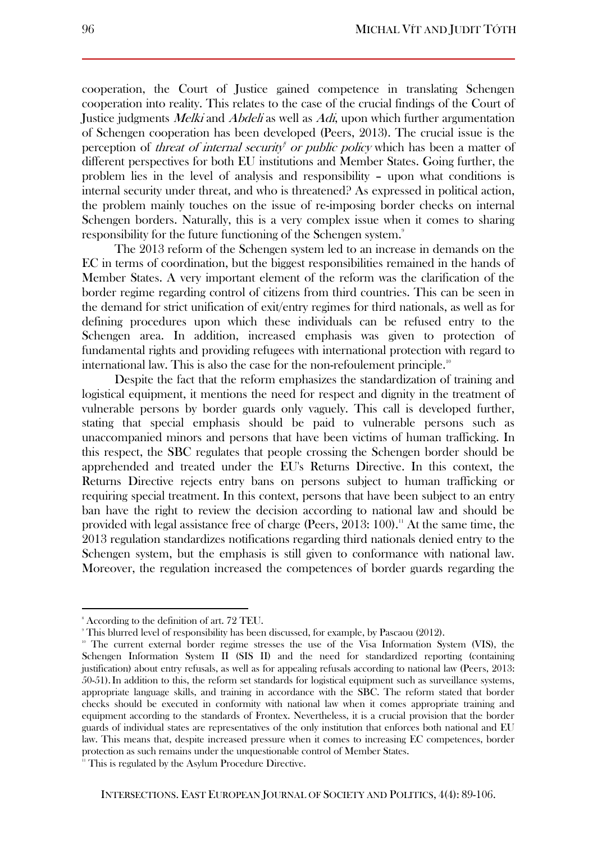cooperation, the Court of Justice gained competence in translating Schengen cooperation into reality. This relates to the case of the crucial findings of the Court of Justice judgments Melki and Abdeli as well as Adi, upon which further argumentation of Schengen cooperation has been developed (Peers, 2013). The crucial issue is the perception of *threat of internal security<sup>8</sup> or public policy* which has been a matter of different perspectives for both EU institutions and Member States. Going further, the problem lies in the level of analysis and responsibility – upon what conditions is internal security under threat, and who is threatened? As expressed in political action, the problem mainly touches on the issue of re-imposing border checks on internal Schengen borders. Naturally, this is a very complex issue when it comes to sharing responsibility for the future functioning of the Schengen system.<sup>9</sup>

The 2013 reform of the Schengen system led to an increase in demands on the EC in terms of coordination, but the biggest responsibilities remained in the hands of Member States. A very important element of the reform was the clarification of the border regime regarding control of citizens from third countries. This can be seen in the demand for strict unification of exit/entry regimes for third nationals, as well as for defining procedures upon which these individuals can be refused entry to the Schengen area. In addition, increased emphasis was given to protection of fundamental rights and providing refugees with international protection with regard to international law. This is also the case for the non-refoulement principle.<sup>10</sup>

Despite the fact that the reform emphasizes the standardization of training and logistical equipment, it mentions the need for respect and dignity in the treatment of vulnerable persons by border guards only vaguely. This call is developed further, stating that special emphasis should be paid to vulnerable persons such as unaccompanied minors and persons that have been victims of human trafficking. In this respect, the SBC regulates that people crossing the Schengen border should be apprehended and treated under the EU's Returns Directive. In this context, the Returns Directive rejects entry bans on persons subject to human trafficking or requiring special treatment. In this context, persons that have been subject to an entry ban have the right to review the decision according to national law and should be provided with legal assistance free of charge (Peers,  $2013:100$ ).<sup>11</sup> At the same time, the 2013 regulation standardizes notifications regarding third nationals denied entry to the Schengen system, but the emphasis is still given to conformance with national law. Moreover, the regulation increased the competences of border guards regarding the

<sup>8</sup> According to the definition of art. 72 TEU.

<sup>9</sup> This blurred level of responsibility has been discussed, for example, by Pascaou (2012).

<sup>10</sup> The current external border regime stresses the use of the Visa Information System (VIS), the Schengen Information System II (SIS II) and the need for standardized reporting (containing justification) about entry refusals, as well as for appealing refusals according to national law (Peers, 2013: 50-51).In addition to this, the reform set standards for logistical equipment such as surveillance systems, appropriate language skills, and training in accordance with the SBC. The reform stated that border checks should be executed in conformity with national law when it comes appropriate training and equipment according to the standards of Frontex. Nevertheless, it is a crucial provision that the border guards of individual states are representatives of the only institution that enforces both national and EU law. This means that, despite increased pressure when it comes to increasing EC competences, border protection as such remains under the unquestionable control of Member States.

<sup>&</sup>lt;sup>11</sup> This is regulated by the Asylum Procedure Directive.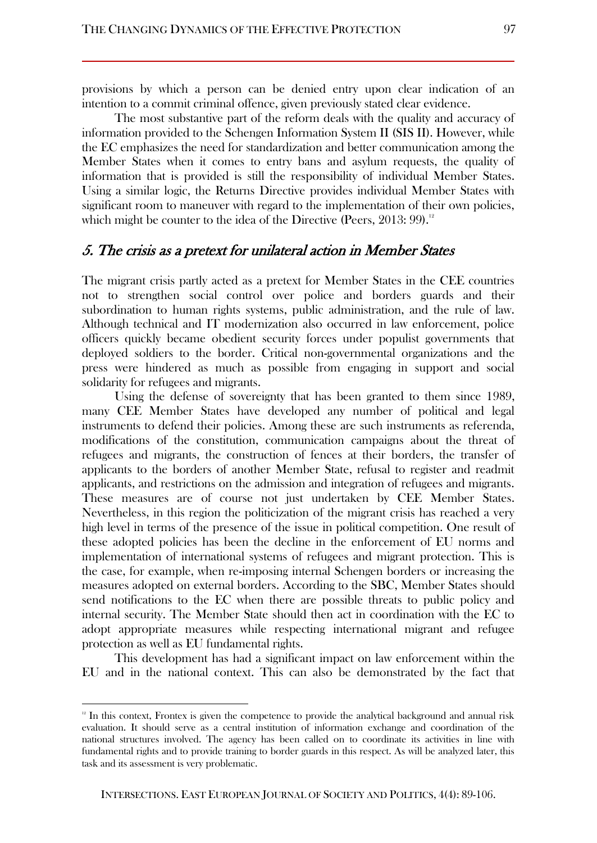provisions by which a person can be denied entry upon clear indication of an intention to a commit criminal offence, given previously stated clear evidence.

The most substantive part of the reform deals with the quality and accuracy of information provided to the Schengen Information System II (SIS II). However, while the EC emphasizes the need for standardization and better communication among the Member States when it comes to entry bans and asylum requests, the quality of information that is provided is still the responsibility of individual Member States. Using a similar logic, the Returns Directive provides individual Member States with significant room to maneuver with regard to the implementation of their own policies, which might be counter to the idea of the Directive (Peers,  $2013:99$ ).<sup>12</sup>

#### 5. The crisis as a pretext for unilateral action in Member States

The migrant crisis partly acted as a pretext for Member States in the CEE countries not to strengthen social control over police and borders guards and their subordination to human rights systems, public administration, and the rule of law. Although technical and IT modernization also occurred in law enforcement, police officers quickly became obedient security forces under populist governments that deployed soldiers to the border. Critical non-governmental organizations and the press were hindered as much as possible from engaging in support and social solidarity for refugees and migrants.

Using the defense of sovereignty that has been granted to them since 1989, many CEE Member States have developed any number of political and legal instruments to defend their policies. Among these are such instruments as referenda, modifications of the constitution, communication campaigns about the threat of refugees and migrants, the construction of fences at their borders, the transfer of applicants to the borders of another Member State, refusal to register and readmit applicants, and restrictions on the admission and integration of refugees and migrants. These measures are of course not just undertaken by CEE Member States. Nevertheless, in this region the politicization of the migrant crisis has reached a very high level in terms of the presence of the issue in political competition. One result of these adopted policies has been the decline in the enforcement of EU norms and implementation of international systems of refugees and migrant protection. This is the case, for example, when re-imposing internal Schengen borders or increasing the measures adopted on external borders. According to the SBC, Member States should send notifications to the EC when there are possible threats to public policy and internal security. The Member State should then act in coordination with the EC to adopt appropriate measures while respecting international migrant and refugee protection as well as EU fundamental rights.

This development has had a significant impact on law enforcement within the EU and in the national context. This can also be demonstrated by the fact that

<sup>&</sup>lt;sup>12</sup> In this context, Frontex is given the competence to provide the analytical background and annual risk evaluation. It should serve as a central institution of information exchange and coordination of the national structures involved. The agency has been called on to coordinate its activities in line with fundamental rights and to provide training to border guards in this respect. As will be analyzed later, this task and its assessment is very problematic.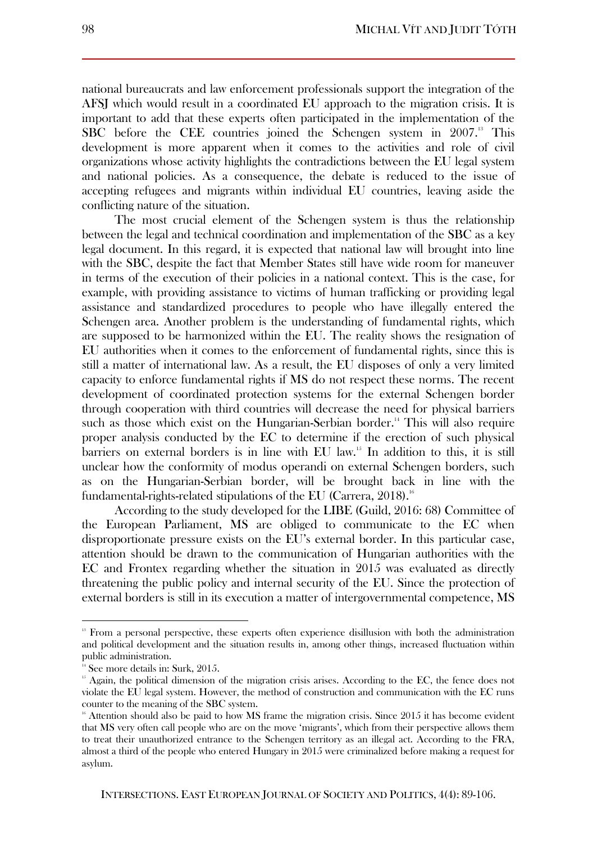national bureaucrats and law enforcement professionals support the integration of the AFSJ which would result in a coordinated EU approach to the migration crisis. It is important to add that these experts often participated in the implementation of the SBC before the CEE countries joined the Schengen system in 2007.<sup>13</sup> This development is more apparent when it comes to the activities and role of civil organizations whose activity highlights the contradictions between the EU legal system and national policies. As a consequence, the debate is reduced to the issue of accepting refugees and migrants within individual EU countries, leaving aside the conflicting nature of the situation.

The most crucial element of the Schengen system is thus the relationship between the legal and technical coordination and implementation of the SBC as a key legal document. In this regard, it is expected that national law will brought into line with the SBC, despite the fact that Member States still have wide room for maneuver in terms of the execution of their policies in a national context. This is the case, for example, with providing assistance to victims of human trafficking or providing legal assistance and standardized procedures to people who have illegally entered the Schengen area. Another problem is the understanding of fundamental rights, which are supposed to be harmonized within the EU. The reality shows the resignation of EU authorities when it comes to the enforcement of fundamental rights, since this is still a matter of international law. As a result, the EU disposes of only a very limited capacity to enforce fundamental rights if MS do not respect these norms. The recent development of coordinated protection systems for the external Schengen border through cooperation with third countries will decrease the need for physical barriers such as those which exist on the Hungarian-Serbian border.<sup>14</sup> This will also require proper analysis conducted by the EC to determine if the erection of such physical barriers on external borders is in line with EU law.<sup>15</sup> In addition to this, it is still unclear how the conformity of modus operandi on external Schengen borders, such as on the Hungarian-Serbian border, will be brought back in line with the fundamental-rights-related stipulations of the EU (Carrera,  $2018$ ).<sup>16</sup>

According to the study developed for the LIBE (Guild, 2016: 68) Committee of the European Parliament, MS are obliged to communicate to the EC when disproportionate pressure exists on the EU's external border. In this particular case, attention should be drawn to the communication of Hungarian authorities with the EC and Frontex regarding whether the situation in 2015 was evaluated as directly threatening the public policy and internal security of the EU. Since the protection of external borders is still in its execution a matter of intergovernmental competence, MS

<sup>&</sup>lt;sup>13</sup> From a personal perspective, these experts often experience disillusion with both the administration and political development and the situation results in, among other things, increased fluctuation within public administration.

<sup>&</sup>lt;sup>14</sup> See more details in: Surk, 2015.

<sup>&</sup>lt;sup>15</sup> Again, the political dimension of the migration crisis arises. According to the EC, the fence does not violate the EU legal system. However, the method of construction and communication with the EC runs counter to the meaning of the SBC system.

<sup>&</sup>lt;sup>16</sup> Attention should also be paid to how MS frame the migration crisis. Since 2015 it has become evident that MS very often call people who are on the move 'migrants', which from their perspective allows them to treat their unauthorized entrance to the Schengen territory as an illegal act. According to the FRA, almost a third of the people who entered Hungary in 2015 were criminalized before making a request for asylum.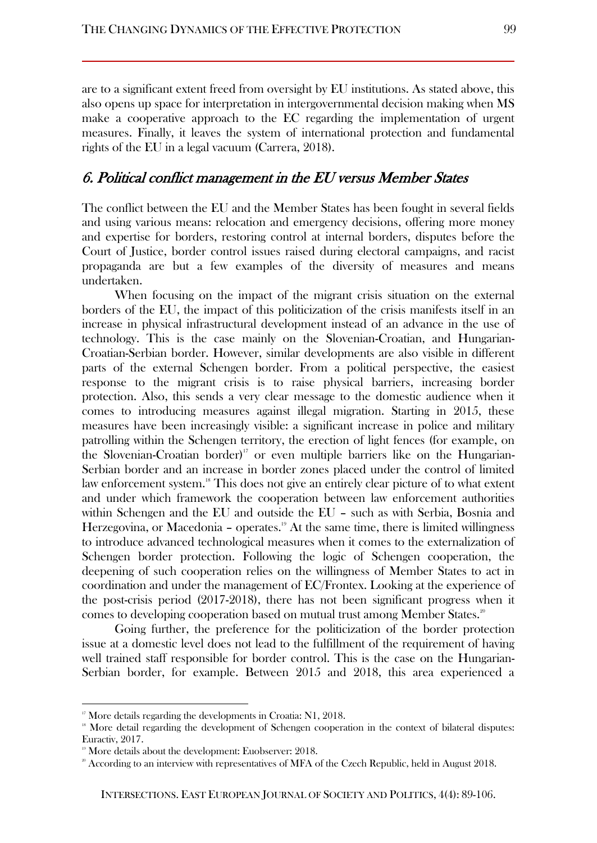are to a significant extent freed from oversight by EU institutions. As stated above, this also opens up space for interpretation in intergovernmental decision making when MS make a cooperative approach to the EC regarding the implementation of urgent measures. Finally, it leaves the system of international protection and fundamental rights of the EU in a legal vacuum (Carrera, 2018).

## 6. Political conflict management in the EU versus Member States

The conflict between the EU and the Member States has been fought in several fields and using various means: relocation and emergency decisions, offering more money and expertise for borders, restoring control at internal borders, disputes before the Court of Justice, border control issues raised during electoral campaigns, and racist propaganda are but a few examples of the diversity of measures and means undertaken.

When focusing on the impact of the migrant crisis situation on the external borders of the EU, the impact of this politicization of the crisis manifests itself in an increase in physical infrastructural development instead of an advance in the use of technology. This is the case mainly on the Slovenian-Croatian, and Hungarian-Croatian-Serbian border. However, similar developments are also visible in different parts of the external Schengen border. From a political perspective, the easiest response to the migrant crisis is to raise physical barriers, increasing border protection. Also, this sends a very clear message to the domestic audience when it comes to introducing measures against illegal migration. Starting in 2015, these measures have been increasingly visible: a significant increase in police and military patrolling within the Schengen territory, the erection of light fences (for example, on the Slovenian-Croatian border)<sup>17</sup> or even multiple barriers like on the Hungarian-Serbian border and an increase in border zones placed under the control of limited law enforcement system.<sup>18</sup> This does not give an entirely clear picture of to what extent and under which framework the cooperation between law enforcement authorities within Schengen and the EU and outside the EU – such as with Serbia, Bosnia and Herzegovina, or Macedonia - operates.<sup>19</sup> At the same time, there is limited willingness to introduce advanced technological measures when it comes to the externalization of Schengen border protection. Following the logic of Schengen cooperation, the deepening of such cooperation relies on the willingness of Member States to act in coordination and under the management of EC/Frontex. Looking at the experience of the post-crisis period (2017-2018), there has not been significant progress when it comes to developing cooperation based on mutual trust among Member States.<sup>20</sup>

Going further, the preference for the politicization of the border protection issue at a domestic level does not lead to the fulfillment of the requirement of having well trained staff responsible for border control. This is the case on the Hungarian-Serbian border, for example. Between 2015 and 2018, this area experienced a

<sup>&</sup>lt;sup>17</sup> More details regarding the developments in Croatia: N1, 2018.

<sup>&</sup>lt;sup>18</sup> More detail regarding the development of Schengen cooperation in the context of bilateral disputes: Euractiv, 2017.

<sup>&</sup>lt;sup>19</sup> More details about the development: Euobserver: 2018.

<sup>&</sup>lt;sup>20</sup> According to an interview with representatives of MFA of the Czech Republic, held in August 2018.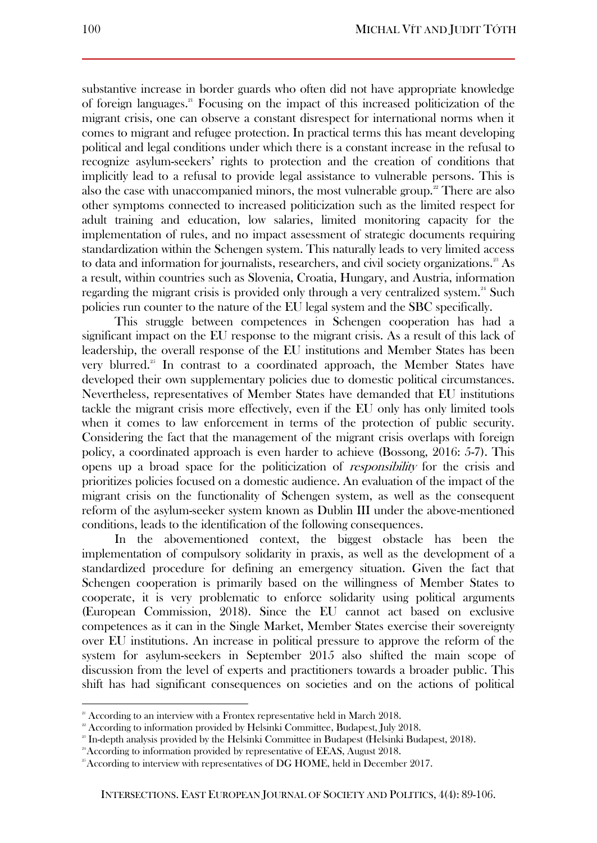substantive increase in border guards who often did not have appropriate knowledge of foreign languages.<sup>21</sup> Focusing on the impact of this increased politicization of the migrant crisis, one can observe a constant disrespect for international norms when it comes to migrant and refugee protection. In practical terms this has meant developing political and legal conditions under which there is a constant increase in the refusal to recognize asylum-seekers' rights to protection and the creation of conditions that implicitly lead to a refusal to provide legal assistance to vulnerable persons. This is also the case with unaccompanied minors, the most vulnerable group.<sup>22</sup> There are also other symptoms connected to increased politicization such as the limited respect for adult training and education, low salaries, limited monitoring capacity for the implementation of rules, and no impact assessment of strategic documents requiring standardization within the Schengen system. This naturally leads to very limited access to data and information for journalists, researchers, and civil society organizations.<sup>23</sup> As a result, within countries such as Slovenia, Croatia, Hungary, and Austria, information regarding the migrant crisis is provided only through a very centralized system.<sup>24</sup> Such policies run counter to the nature of the EU legal system and the SBC specifically.

This struggle between competences in Schengen cooperation has had a significant impact on the EU response to the migrant crisis. As a result of this lack of leadership, the overall response of the EU institutions and Member States has been very blurred.<sup>25</sup> In contrast to a coordinated approach, the Member States have developed their own supplementary policies due to domestic political circumstances. Nevertheless, representatives of Member States have demanded that EU institutions tackle the migrant crisis more effectively, even if the EU only has only limited tools when it comes to law enforcement in terms of the protection of public security. Considering the fact that the management of the migrant crisis overlaps with foreign policy, a coordinated approach is even harder to achieve (Bossong, 2016: 5-7). This opens up a broad space for the politicization of responsibility for the crisis and prioritizes policies focused on a domestic audience. An evaluation of the impact of the migrant crisis on the functionality of Schengen system, as well as the consequent reform of the asylum-seeker system known as Dublin III under the above-mentioned conditions, leads to the identification of the following consequences.

In the abovementioned context, the biggest obstacle has been the implementation of compulsory solidarity in praxis, as well as the development of a standardized procedure for defining an emergency situation. Given the fact that Schengen cooperation is primarily based on the willingness of Member States to cooperate, it is very problematic to enforce solidarity using political arguments (European Commission, 2018). Since the EU cannot act based on exclusive competences as it can in the Single Market, Member States exercise their sovereignty over EU institutions. An increase in political pressure to approve the reform of the system for asylum-seekers in September 2015 also shifted the main scope of discussion from the level of experts and practitioners towards a broader public. This shift has had significant consequences on societies and on the actions of political

<sup>&</sup>lt;sup>21</sup> According to an interview with a Frontex representative held in March 2018.

<sup>&</sup>lt;sup>22</sup> According to information provided by Helsinki Committee, Budapest, July 2018.

<sup>&</sup>lt;sup>23</sup> In-depth analysis provided by the Helsinki Committee in Budapest (Helsinki Budapest, 2018).

<sup>&</sup>lt;sup>24</sup> According to information provided by representative of EEAS, August 2018.

<sup>&</sup>lt;sup>25</sup> According to interview with representatives of DG HOME, held in December 2017.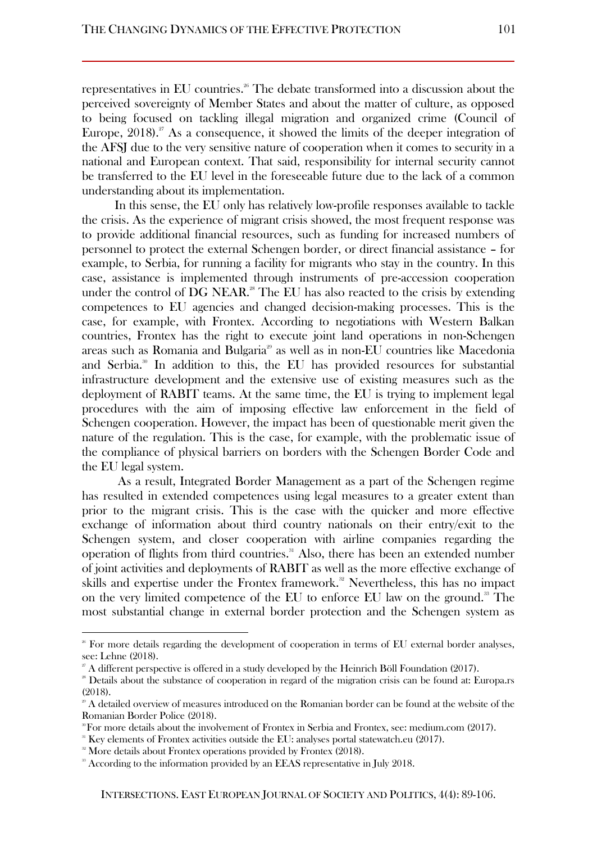representatives in EU countries.<sup>26</sup> The debate transformed into a discussion about the perceived sovereignty of Member States and about the matter of culture, as opposed to being focused on tackling illegal migration and organized crime (Council of Europe,  $2018$ .  $\frac{2018}{3}$ . As a consequence, it showed the limits of the deeper integration of the AFSJ due to the very sensitive nature of cooperation when it comes to security in a national and European context. That said, responsibility for internal security cannot be transferred to the EU level in the foreseeable future due to the lack of a common understanding about its implementation.

In this sense, the EU only has relatively low-profile responses available to tackle the crisis. As the experience of migrant crisis showed, the most frequent response was to provide additional financial resources, such as funding for increased numbers of personnel to protect the external Schengen border, or direct financial assistance – for example, to Serbia, for running a facility for migrants who stay in the country. In this case, assistance is implemented through instruments of pre-accession cooperation under the control of DG NEAR.<sup>28</sup> The EU has also reacted to the crisis by extending competences to EU agencies and changed decision-making processes. This is the case, for example, with Frontex. According to negotiations with Western Balkan countries, Frontex has the right to execute joint land operations in non-Schengen areas such as Romania and Bulgaria<sup>29</sup> as well as in non-EU countries like Macedonia and Serbia.<sup>30</sup> In addition to this, the EU has provided resources for substantial infrastructure development and the extensive use of existing measures such as the deployment of RABIT teams. At the same time, the EU is trying to implement legal procedures with the aim of imposing effective law enforcement in the field of Schengen cooperation. However, the impact has been of questionable merit given the nature of the regulation. This is the case, for example, with the problematic issue of the compliance of physical barriers on borders with the Schengen Border Code and the EU legal system.

As a result, Integrated Border Management as a part of the Schengen regime has resulted in extended competences using legal measures to a greater extent than prior to the migrant crisis. This is the case with the quicker and more effective exchange of information about third country nationals on their entry/exit to the Schengen system, and closer cooperation with airline companies regarding the operation of flights from third countries.<sup>31</sup> Also, there has been an extended number of joint activities and deployments of RABIT as well as the more effective exchange of skills and expertise under the Frontex framework.<sup>32</sup> Nevertheless, this has no impact on the very limited competence of the EU to enforce EU law on the ground.<sup>33</sup> The most substantial change in external border protection and the Schengen system as

<sup>&</sup>lt;sup>26</sup> For more details regarding the development of cooperation in terms of EU external border analyses, see: Lehne (2018).

 $\overline{a}^x$  A different perspective is offered in a study developed by the Heinrich Böll Foundation (2017).

<sup>&</sup>lt;sup>28</sup> Details about the substance of cooperation in regard of the migration crisis can be found at: Europa.rs (2018).

 $^{\circ}$  A detailed overview of measures introduced on the Romanian border can be found at the website of the Romanian Border Police (2018).

 $\degree$  For more details about the involvement of Frontex in Serbia and Frontex, see: medium.com (2017).

<sup>31</sup> Key elements of Frontex activities outside the EU: analyses portal statewatch.eu (2017).

<sup>&</sup>lt;sup>32</sup> More details about Frontex operations provided by Frontex (2018).

<sup>&</sup>lt;sup>33</sup> According to the information provided by an EEAS representative in July 2018.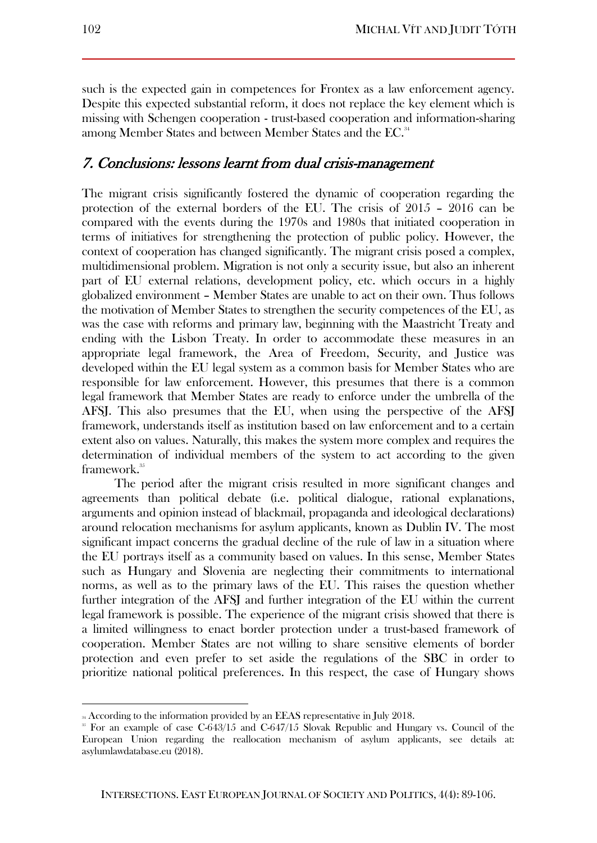such is the expected gain in competences for Frontex as a law enforcement agency. Despite this expected substantial reform, it does not replace the key element which is missing with Schengen cooperation - trust-based cooperation and information-sharing among Member States and between Member States and the EC.<sup>34</sup>

## 7. Conclusions: lessons learnt from dual crisis-management

The migrant crisis significantly fostered the dynamic of cooperation regarding the protection of the external borders of the EU. The crisis of 2015 – 2016 can be compared with the events during the 1970s and 1980s that initiated cooperation in terms of initiatives for strengthening the protection of public policy. However, the context of cooperation has changed significantly. The migrant crisis posed a complex, multidimensional problem. Migration is not only a security issue, but also an inherent part of EU external relations, development policy, etc. which occurs in a highly globalized environment – Member States are unable to act on their own. Thus follows the motivation of Member States to strengthen the security competences of the EU, as was the case with reforms and primary law, beginning with the Maastricht Treaty and ending with the Lisbon Treaty. In order to accommodate these measures in an appropriate legal framework, the Area of Freedom, Security, and Justice was developed within the EU legal system as a common basis for Member States who are responsible for law enforcement. However, this presumes that there is a common legal framework that Member States are ready to enforce under the umbrella of the AFSJ. This also presumes that the EU, when using the perspective of the AFSJ framework, understands itself as institution based on law enforcement and to a certain extent also on values. Naturally, this makes the system more complex and requires the determination of individual members of the system to act according to the given framework.<sup>35</sup>

The period after the migrant crisis resulted in more significant changes and agreements than political debate (i.e. political dialogue, rational explanations, arguments and opinion instead of blackmail, propaganda and ideological declarations) around relocation mechanisms for asylum applicants, known as Dublin IV. The most significant impact concerns the gradual decline of the rule of law in a situation where the EU portrays itself as a community based on values. In this sense, Member States such as Hungary and Slovenia are neglecting their commitments to international norms, as well as to the primary laws of the EU. This raises the question whether further integration of the AFSJ and further integration of the EU within the current legal framework is possible. The experience of the migrant crisis showed that there is a limited willingness to enact border protection under a trust-based framework of cooperation. Member States are not willing to share sensitive elements of border protection and even prefer to set aside the regulations of the SBC in order to prioritize national political preferences. In this respect, the case of Hungary shows

<sup>&</sup>lt;sup>34</sup> According to the information provided by an EEAS representative in July 2018.

 $35$  For an example of case C-643/15 and C-647/15 Slovak Republic and Hungary vs. Council of the European Union regarding the reallocation mechanism of asylum applicants, see details at: asylumlawdatabase.eu (2018).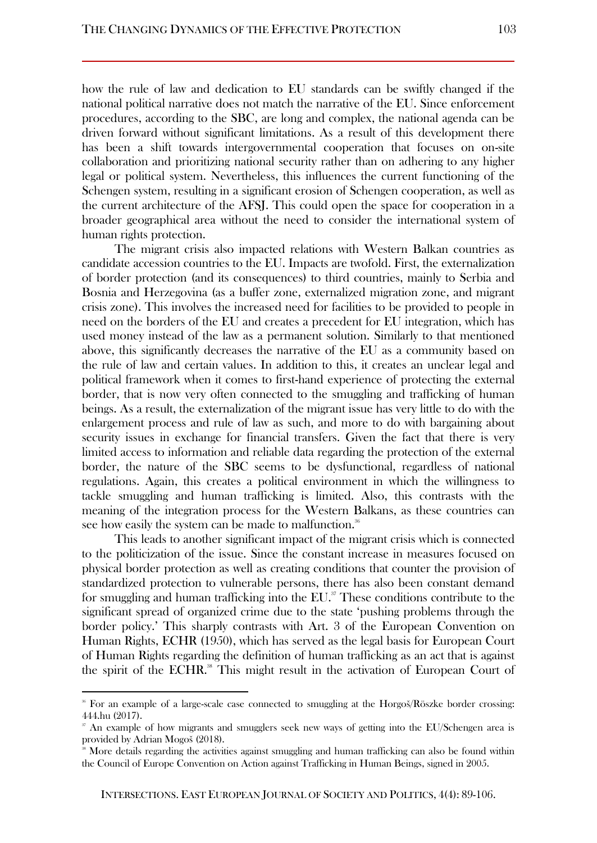how the rule of law and dedication to EU standards can be swiftly changed if the national political narrative does not match the narrative of the EU. Since enforcement procedures, according to the SBC, are long and complex, the national agenda can be driven forward without significant limitations. As a result of this development there has been a shift towards intergovernmental cooperation that focuses on on-site collaboration and prioritizing national security rather than on adhering to any higher legal or political system. Nevertheless, this influences the current functioning of the Schengen system, resulting in a significant erosion of Schengen cooperation, as well as the current architecture of the AFSJ. This could open the space for cooperation in a broader geographical area without the need to consider the international system of human rights protection.

The migrant crisis also impacted relations with Western Balkan countries as candidate accession countries to the EU. Impacts are twofold. First, the externalization of border protection (and its consequences) to third countries, mainly to Serbia and Bosnia and Herzegovina (as a buffer zone, externalized migration zone, and migrant crisis zone). This involves the increased need for facilities to be provided to people in need on the borders of the EU and creates a precedent for EU integration, which has used money instead of the law as a permanent solution. Similarly to that mentioned above, this significantly decreases the narrative of the EU as a community based on the rule of law and certain values. In addition to this, it creates an unclear legal and political framework when it comes to first-hand experience of protecting the external border, that is now very often connected to the smuggling and trafficking of human beings. As a result, the externalization of the migrant issue has very little to do with the enlargement process and rule of law as such, and more to do with bargaining about security issues in exchange for financial transfers. Given the fact that there is very limited access to information and reliable data regarding the protection of the external border, the nature of the SBC seems to be dysfunctional, regardless of national regulations. Again, this creates a political environment in which the willingness to tackle smuggling and human trafficking is limited. Also, this contrasts with the meaning of the integration process for the Western Balkans, as these countries can see how easily the system can be made to malfunction.<sup>36</sup>

This leads to another significant impact of the migrant crisis which is connected to the politicization of the issue. Since the constant increase in measures focused on physical border protection as well as creating conditions that counter the provision of standardized protection to vulnerable persons, there has also been constant demand for smuggling and human trafficking into the  $EU$ <sup>37</sup>. These conditions contribute to the significant spread of organized crime due to the state 'pushing problems through the border policy.' This sharply contrasts with Art. 3 of the European Convention on Human Rights, ECHR (1950), which has served as the legal basis for European Court of Human Rights regarding the definition of human trafficking as an act that is against the spirit of the ECHR.<sup>38</sup> This might result in the activation of European Court of

<sup>&</sup>lt;sup>36</sup> For an example of a large-scale case connected to smuggling at the Horgoš/Röszke border crossing: 444.hu (2017).

<sup>&</sup>lt;sup>37</sup> An example of how migrants and smugglers seek new ways of getting into the EU/Schengen area is provided by Adrian Mogoš (2018).

More details regarding the activities against smuggling and human trafficking can also be found within the Council of Europe Convention on Action against Trafficking in Human Beings, signed in 2005.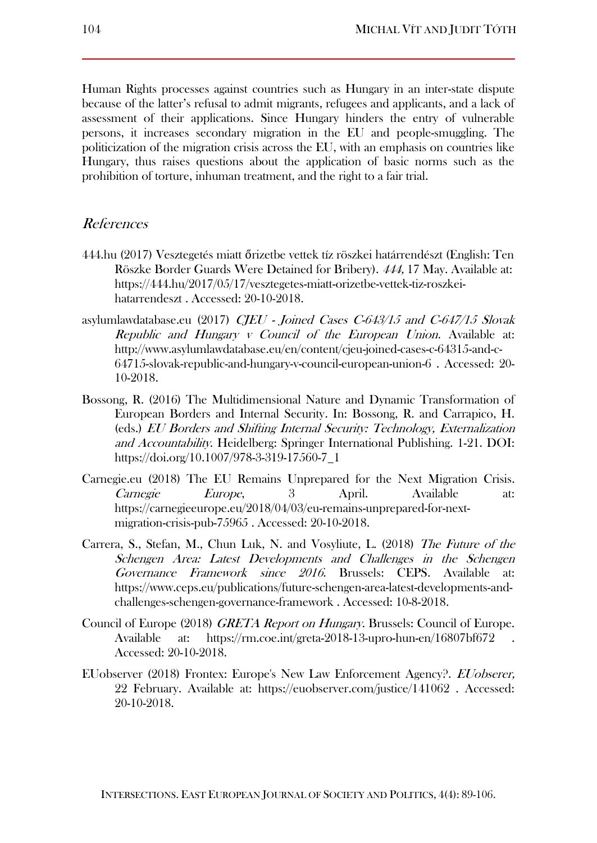Human Rights processes against countries such as Hungary in an inter-state dispute because of the latter's refusal to admit migrants, refugees and applicants, and a lack of assessment of their applications. Since Hungary hinders the entry of vulnerable persons, it increases secondary migration in the EU and people-smuggling. The politicization of the migration crisis across the EU, with an emphasis on countries like Hungary, thus raises questions about the application of basic norms such as the prohibition of torture, inhuman treatment, and the right to a fair trial.

#### References

- 444.hu (2017) Vesztegetés miatt őrizetbe vettek tíz röszkei határrendészt (English: Ten Röszke Border Guards Were Detained for Bribery). 444, 17 May. Available at: https://444.hu/2017/05/17/vesztegetes-miatt-orizetbe-vettek-tiz-roszkeihatarrendeszt . Accessed: 20-10-2018.
- asylumlawdatabase.eu (2017) CJEU Joined Cases C-643/15 and C-647/15 Slovak Republic and Hungary v Council of the European Union. Available at: http://www.asylumlawdatabase.eu/en/content/cjeu-joined-cases-c-64315-and-c-64715-slovak-republic-and-hungary-v-council-european-union-6 . Accessed: 20- 10-2018.
- Bossong, R. (2016) The Multidimensional Nature and Dynamic Transformation of European Borders and Internal Security. In: Bossong, R. and Carrapico, H. (eds.) EU Borders and Shifting Internal Security: Technology, Externalization and Accountability. Heidelberg: Springer International Publishing. 1-21. DOI: https://doi.org/10.1007/978-3-319-17560-7\_1
- Carnegie.eu (2018) The EU Remains Unprepared for the Next Migration Crisis. Carnegie Europe, 3 April. Available at: https://carnegieeurope.eu/2018/04/03/eu-remains-unprepared-for-nextmigration-crisis-pub-75965 . Accessed: 20-10-2018.
- Carrera, S., Stefan, M., Chun Luk, N. and Vosyliute, L. (2018) The Future of the Schengen Area: Latest Developments and Challenges in the Schengen Governance Framework since 2016. Brussels: CEPS. Available at: https://www.ceps.eu/publications/future-schengen-area-latest-developments-andchallenges-schengen-governance-framework . Accessed: 10-8-2018.
- Council of Europe (2018) *GRETA Report on Hungary*. Brussels: Council of Europe. Available at: https://rm.coe.int/greta-2018-13-upro-hun-en/16807bf672 Accessed: 20-10-2018.
- EUobserver (2018) Frontex: Europe's New Law Enforcement Agency?. EUobserer, 22 February. Available at: https://euobserver.com/justice/141062 . Accessed: 20-10-2018.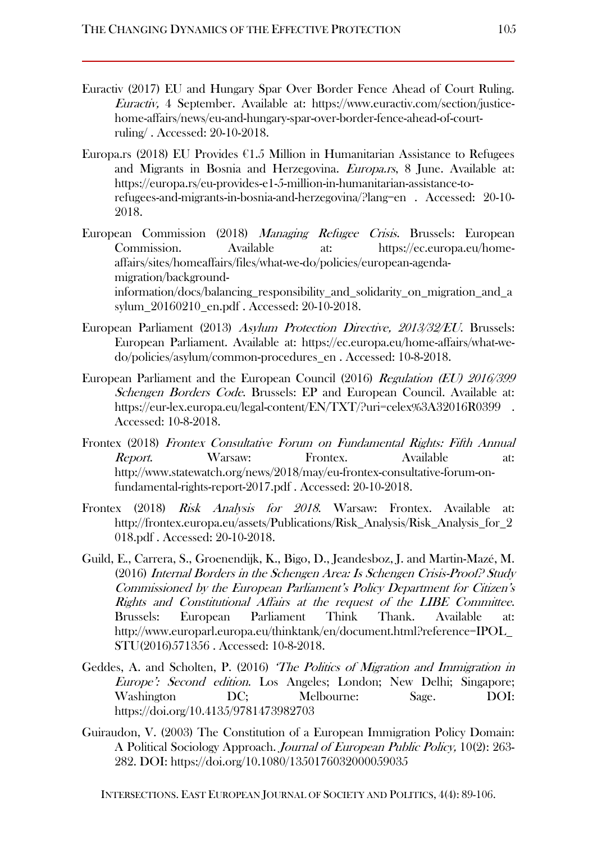- Euractiv (2017) EU and Hungary Spar Over Border Fence Ahead of Court Ruling. Euractiv, 4 September. Available at: https://www.euractiv.com/section/justicehome-affairs/news/eu-and-hungary-spar-over-border-fence-ahead-of-courtruling/ . Accessed: 20-10-2018.
- Europa.rs (2018) EU Provides  $61.5$  Million in Humanitarian Assistance to Refugees and Migrants in Bosnia and Herzegovina. Europa.rs, 8 June. Available at: https://europa.rs/eu-provides-e1-5-million-in-humanitarian-assistance-torefugees-and-migrants-in-bosnia-and-herzegovina/?lang=en . Accessed: 20-10- 2018.
- European Commission (2018) Managing Refugee Crisis. Brussels: European Commission. Available at: https://ec.europa.eu/homeaffairs/sites/homeaffairs/files/what-we-do/policies/european-agendamigration/backgroundinformation/docs/balancing\_responsibility\_and\_solidarity\_on\_migration\_and\_a sylum\_20160210\_en.pdf . Accessed: 20-10-2018.
- European Parliament (2013) Asylum Protection Directive, 2013/32/EU. Brussels: European Parliament. Available at: https://ec.europa.eu/home-affairs/what-wedo/policies/asylum/common-procedures\_en . Accessed: 10-8-2018.
- European Parliament and the European Council (2016) Regulation (EU) 2016/399 Schengen Borders Code. Brussels: EP and European Council. Available at: https://eur-lex.europa.eu/legal-content/EN/TXT/?uri=celex%3A32016R0399. Accessed: 10-8-2018.
- Frontex (2018) Frontex Consultative Forum on Fundamental Rights: Fifth Annual Report. Warsaw: Frontex. Available at: http://www.statewatch.org/news/2018/may/eu-frontex-consultative-forum-onfundamental-rights-report-2017.pdf . Accessed: 20-10-2018.
- Frontex (2018) Risk Analysis for 2018. Warsaw: Frontex. Available at: http://frontex.europa.eu/assets/Publications/Risk\_Analysis/Risk\_Analysis\_for\_2 018.pdf . Accessed: 20-10-2018.
- Guild, E., Carrera, S., Groenendijk, K., Bigo, D., Jeandesboz, J. and Martin-Mazé, M. (2016) Internal Borders in the Schengen Area: Is Schengen Crisis-Proof? Study Commissioned by the European Parliament's Policy Department for Citizen's Rights and Constitutional Affairs at the request of the LIBE Committee. Brussels: European Parliament Think Thank. Available at: http://www.europarl.europa.eu/thinktank/en/document.html?reference=IPOL\_ STU(2016)571356 . Accessed: 10-8-2018.
- Geddes, A. and Scholten, P. (2016) 'The Politics of Migration and Immigration in Europe': Second edition. Los Angeles; London; New Delhi; Singapore; Washington DC; Melbourne: Sage. DOI: https://doi.org/10.4135/9781473982703
- Guiraudon, V. (2003) The Constitution of a European Immigration Policy Domain: A Political Sociology Approach. Journal of European Public Policy, 10(2): 263- 282. DOI: https://doi.org/10.1080/1350176032000059035